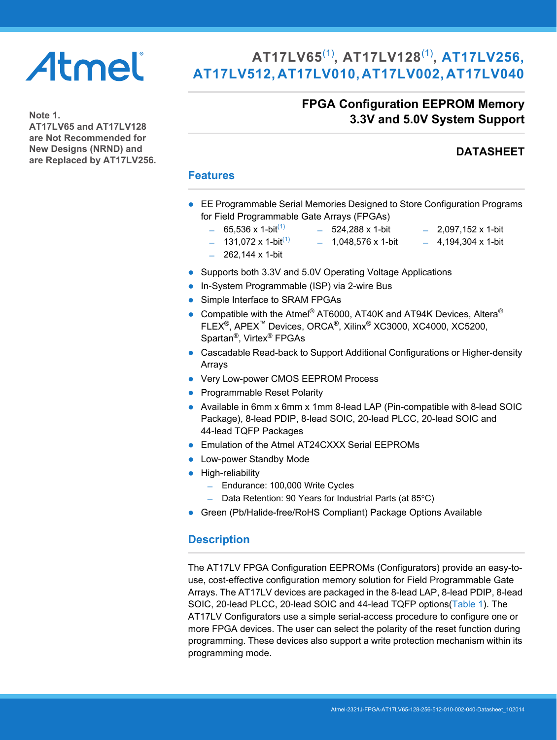# Atmel

# **AT17LV65**[\(1\)](#page-0-0)**, AT17LV128**[\(1\)](#page-0-0)**, AT17LV256, AT17LV512, AT17LV010, AT17LV002, AT17LV040**

## **FPGA Configuration EEPROM Memory 3.3V and 5.0V System Support**

<span id="page-0-0"></span>**Note 1. AT17LV65 and AT17LV128 are Not Recommended for New Designs (NRND) and are Replaced by AT17LV256.**

## **DATASHEET**

## **Features**

- EE Programmable Serial Memories Designed to Store Configuration Programs for Field Programmable Gate Arrays (FPGAs)
	- $-$  65,536 x 1-bit<sup>[\(1\)](#page-0-0)</sup>
		- $-524,288 \times 1$ -bit  $-$  1.048.576 x 1-bit
- $-$  2,097,152 x 1-bit  $-4.194.304 \times 1$ -bit
- $-$  131,072 x 1-bit<sup>(1)</sup>
- $-262,144 \times 1-bit$
- Supports both 3.3V and 5.0V Operating Voltage Applications
- In-System Programmable (ISP) via 2-wire Bus
- Simple Interface to SRAM FPGAs
- Compatible with the Atmel® AT6000, AT40K and AT94K Devices, Altera® FLEX®, APEX™ Devices, ORCA®, Xilinx® XC3000, XC4000, XC5200, Spartan®, Virtex® FPGAs
- Cascadable Read-back to Support Additional Configurations or Higher-density Arrays
- Very Low-power CMOS EEPROM Process
- Programmable Reset Polarity
- Available in 6mm x 6mm x 1mm 8-lead LAP (Pin-compatible with 8-lead SOIC Package), 8-lead PDIP, 8-lead SOIC, 20-lead PLCC, 20-lead SOIC and 44-lead TQFP Packages
- **Emulation of the Atmel AT24CXXX Serial EEPROMs**
- **Low-power Standby Mode**
- **•** High-reliability
	- ̶ Endurance: 100,000 Write Cycles
	- $-$  Data Retention: 90 Years for Industrial Parts (at 85 $\degree$ C)
- Green (Pb/Halide-free/RoHS Compliant) Package Options Available

## **Description**

The AT17LV FPGA Configuration EEPROMs (Configurators) provide an easy-touse, cost-effective configuration memory solution for Field Programmable Gate Arrays. The AT17LV devices are packaged in the 8-lead LAP, 8-lead PDIP, 8-lead SOIC, 20-lead PLCC, 20-lead SOIC and 44-lead TQFP options([Table 1\)](#page-1-0). The AT17LV Configurators use a simple serial-access procedure to configure one or more FPGA devices. The user can select the polarity of the reset function during programming. These devices also support a write protection mechanism within its programming mode.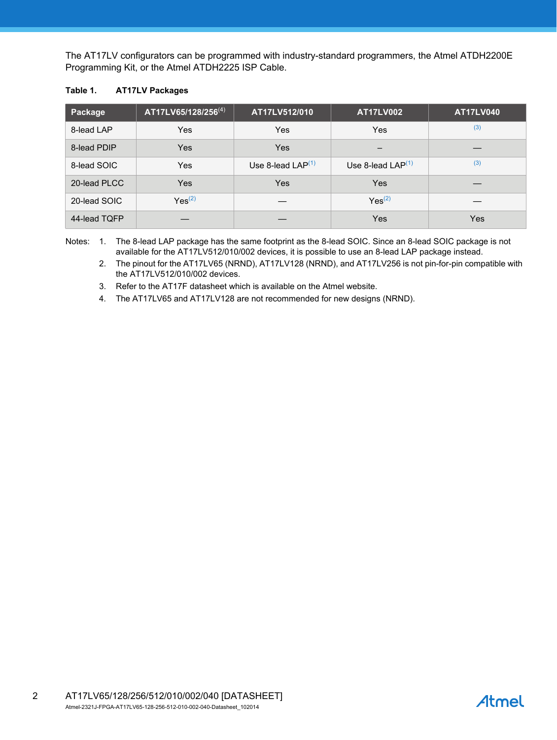The AT17LV configurators can be programmed with industry-standard programmers, the Atmel ATDH2200E Programming Kit, or the Atmel ATDH2225 ISP Cable.

#### <span id="page-1-0"></span>**Table 1. AT17LV Packages**

| Package      | AT17LV65/128/256 <sup>(4)</sup> | AT17LV512/010       | <b>AT17LV002</b>    | <b>AT17LV040</b> |
|--------------|---------------------------------|---------------------|---------------------|------------------|
| 8-lead LAP   | Yes                             | Yes                 | Yes                 | (3)              |
| 8-lead PDIP  | Yes                             | Yes                 | –                   |                  |
| 8-lead SOIC  | <b>Yes</b>                      | Use 8-lead $LAP(1)$ | Use 8-lead $LAP(1)$ | (3)              |
| 20-lead PLCC | Yes                             | Yes                 | <b>Yes</b>          |                  |
| 20-lead SOIC | $Yes^{(2)}$                     |                     | $Yes^{(2)}$         |                  |
| 44-lead TQFP |                                 |                     | <b>Yes</b>          | <b>Yes</b>       |

<span id="page-1-3"></span><span id="page-1-2"></span>Notes: 1. The 8-lead LAP package has the same footprint as the 8-lead SOIC. Since an 8-lead SOIC package is not available for the AT17LV512/010/002 devices, it is possible to use an 8-lead LAP package instead.

2. The pinout for the AT17LV65 (NRND), AT17LV128 (NRND), and AT17LV256 is not pin-for-pin compatible with the AT17LV512/010/002 devices.

<span id="page-1-1"></span>3. Refer to the AT17F datasheet which is available on the Atmel website.

<span id="page-1-4"></span>4. The AT17LV65 and AT17LV128 are not recommended for new designs (NRND).

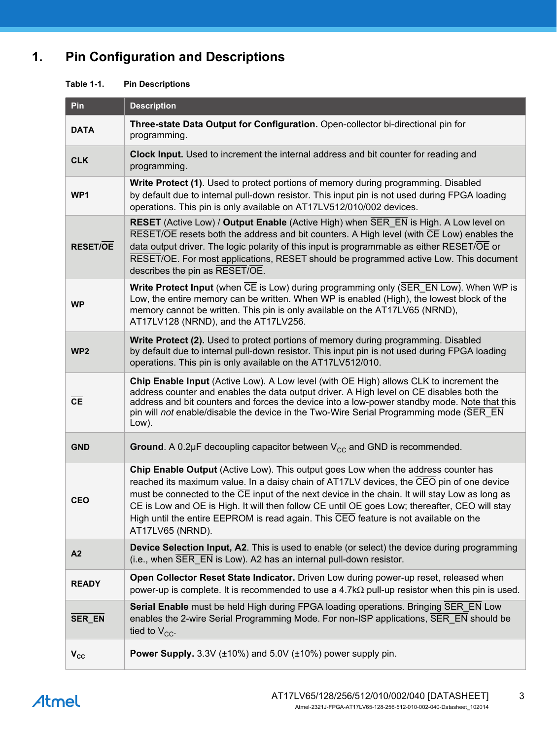# **1. Pin Configuration and Descriptions**

| <b>Table 1-1.</b> | <b>Pin Descriptions</b> |
|-------------------|-------------------------|
|-------------------|-------------------------|

| Pin             | <b>Description</b>                                                                                                                                                                                                                                                                                                                                                                                                                                                                            |
|-----------------|-----------------------------------------------------------------------------------------------------------------------------------------------------------------------------------------------------------------------------------------------------------------------------------------------------------------------------------------------------------------------------------------------------------------------------------------------------------------------------------------------|
| <b>DATA</b>     | Three-state Data Output for Configuration. Open-collector bi-directional pin for<br>programming.                                                                                                                                                                                                                                                                                                                                                                                              |
| <b>CLK</b>      | Clock Input. Used to increment the internal address and bit counter for reading and<br>programming.                                                                                                                                                                                                                                                                                                                                                                                           |
| WP1             | Write Protect (1). Used to protect portions of memory during programming. Disabled<br>by default due to internal pull-down resistor. This input pin is not used during FPGA loading<br>operations. This pin is only available on AT17LV512/010/002 devices.                                                                                                                                                                                                                                   |
| <b>RESET/OE</b> | RESET (Active Low) / Output Enable (Active High) when SER_EN is High. A Low level on<br>RESET/OE resets both the address and bit counters. A High level (with CE Low) enables the<br>data output driver. The logic polarity of this input is programmable as either RESET/OE or<br>RESET/OE. For most applications, RESET should be programmed active Low. This document<br>describes the pin as RESET/OE.                                                                                    |
| <b>WP</b>       | Write Protect Input (when CE is Low) during programming only (SER_EN Low). When WP is<br>Low, the entire memory can be written. When WP is enabled (High), the lowest block of the<br>memory cannot be written. This pin is only available on the AT17LV65 (NRND),<br>AT17LV128 (NRND), and the AT17LV256.                                                                                                                                                                                    |
| WP <sub>2</sub> | <b>Write Protect (2).</b> Used to protect portions of memory during programming. Disabled<br>by default due to internal pull-down resistor. This input pin is not used during FPGA loading<br>operations. This pin is only available on the AT17LV512/010.                                                                                                                                                                                                                                    |
| CE              | Chip Enable Input (Active Low). A Low level (with OE High) allows CLK to increment the<br>address counter and enables the data output driver. A High level on CE disables both the<br>address and bit counters and forces the device into a low-power standby mode. Note that this<br>pin will not enable/disable the device in the Two-Wire Serial Programming mode (SER_EN<br>Low).                                                                                                         |
| <b>GND</b>      | Ground. A 0.2 $\mu$ F decoupling capacitor between $V_{CC}$ and GND is recommended.                                                                                                                                                                                                                                                                                                                                                                                                           |
| <b>CEO</b>      | Chip Enable Output (Active Low). This output goes Low when the address counter has<br>reached its maximum value. In a daisy chain of AT17LV devices, the CEO pin of one device<br>must be connected to the CE input of the next device in the chain. It will stay Low as long as<br>CE is Low and OE is High. It will then follow CE until OE goes Low; thereafter, CEO will stay<br>High until the entire EEPROM is read again. This CEO feature is not available on the<br>AT17LV65 (NRND). |
| A2              | <b>Device Selection Input, A2.</b> This is used to enable (or select) the device during programming<br>(i.e., when SER EN is Low). A2 has an internal pull-down resistor.                                                                                                                                                                                                                                                                                                                     |
| <b>READY</b>    | Open Collector Reset State Indicator. Driven Low during power-up reset, released when<br>power-up is complete. It is recommended to use a 4.7k $\Omega$ pull-up resistor when this pin is used.                                                                                                                                                                                                                                                                                               |
| SER_EN          | Serial Enable must be held High during FPGA loading operations. Bringing SER EN Low<br>enables the 2-wire Serial Programming Mode. For non-ISP applications, SER EN should be<br>tied to $V_{CC}$ .                                                                                                                                                                                                                                                                                           |
| $V_{\rm CC}$    | Power Supply. 3.3V (±10%) and 5.0V (±10%) power supply pin.                                                                                                                                                                                                                                                                                                                                                                                                                                   |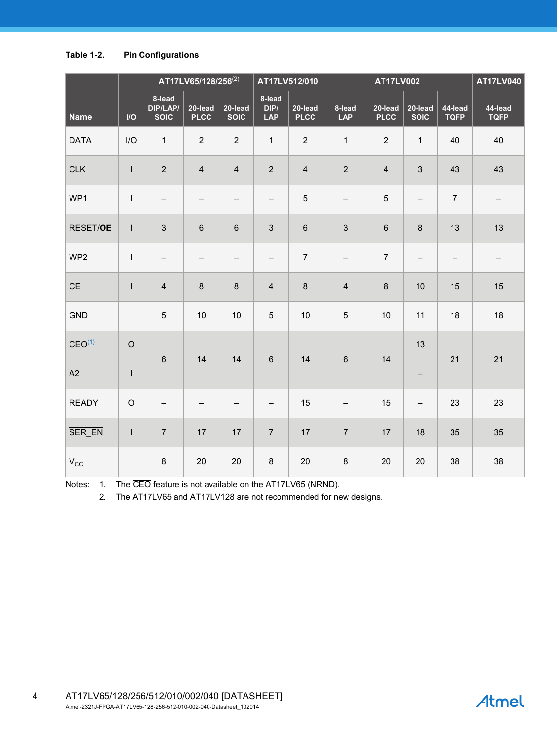#### **Table 1-2. Pin Configurations**

|                               |               |                                   | AT17LV65/128/256 <sup>(2)</sup> |                        |                              | AT17LV512/010          |                          | <b>AT17LV002</b>       |                          |                        | <b>AT17LV040</b>         |
|-------------------------------|---------------|-----------------------------------|---------------------------------|------------------------|------------------------------|------------------------|--------------------------|------------------------|--------------------------|------------------------|--------------------------|
| <b>Name</b>                   | $\mathsf{IO}$ | 8-lead<br>DIP/LAP/<br><b>SOIC</b> | 20-lead<br><b>PLCC</b>          | 20-lead<br><b>SOIC</b> | 8-lead<br>DIP/<br><b>LAP</b> | 20-lead<br><b>PLCC</b> | 8-lead<br><b>LAP</b>     | 20-lead<br><b>PLCC</b> | 20-lead<br><b>SOIC</b>   | 44-lead<br><b>TQFP</b> | 44-lead<br><b>TQFP</b>   |
| <b>DATA</b>                   | I/O           | $\mathbf{1}$                      | $\overline{2}$                  | $\overline{2}$         | $\mathbf{1}$                 | $\overline{2}$         | $\mathbf{1}$             | $\overline{2}$         | $\mathbf{1}$             | 40                     | 40                       |
| <b>CLK</b>                    | L             | $\overline{2}$                    | $\overline{\mathbf{4}}$         | $\overline{4}$         | $\overline{2}$               | $\overline{4}$         | $\overline{2}$           | $\overline{4}$         | $\mathbf{3}$             | 43                     | 43                       |
| WP1                           | $\mathbf{I}$  | $\qquad \qquad -$                 | $\qquad \qquad -$               | $\qquad \qquad -$      | $\qquad \qquad -$            | $\overline{5}$         | $\overline{\phantom{0}}$ | 5                      | $\qquad \qquad -$        | $\overline{7}$         | $\overline{\phantom{m}}$ |
| RESET/OE                      | $\mathbf{I}$  | $\mathfrak{S}$                    | 6                               | $\,6\,$                | $\mathfrak{S}$               | $6\phantom{a}$         | $\mathbf{3}$             | $\,6\,$                | $\boldsymbol{8}$         | 13                     | 13                       |
| WP <sub>2</sub>               | $\mathsf{I}$  | $\qquad \qquad -$                 | -                               | $\qquad \qquad -$      | $\qquad \qquad -$            | $\overline{7}$         | $\qquad \qquad -$        | $\overline{7}$         | $\qquad \qquad -$        | -                      | $\qquad \qquad -$        |
| $\overline{\text{CE}}$        | L             | $\overline{\mathbf{4}}$           | $\bf 8$                         | $\,8\,$                | $\overline{\mathbf{4}}$      | $\bf 8$                | $\overline{\mathbf{4}}$  | $\,8\,$                | 10                       | 15                     | 15                       |
| <b>GND</b>                    |               | 5                                 | 10                              | 10                     | $\sqrt{5}$                   | 10                     | $5\overline{)}$          | 10                     | 11                       | 18                     | 18                       |
| $\overline{\text{CEO}}^{(1)}$ | $\circ$       | $\,6\,$                           | 14                              | 14                     | $\,6\,$                      | 14                     | $\,6\,$                  | 14                     | 13                       | 21                     | 21                       |
| A2                            | $\mathsf I$   |                                   |                                 |                        |                              |                        |                          |                        | $\qquad \qquad -$        |                        |                          |
| <b>READY</b>                  | $\mathsf O$   | $\qquad \qquad -$                 | $\qquad \qquad -$               | $\qquad \qquad -$      | $\qquad \qquad -$            | 15                     | $\qquad \qquad -$        | 15                     | $\overline{\phantom{a}}$ | 23                     | 23                       |
| SER_EN                        | $\mathsf{L}$  | $\overline{7}$                    | 17                              | 17                     | $\overline{7}$               | 17                     | $\overline{7}$           | 17                     | 18                       | 35                     | 35                       |
| $V_{\rm CC}$                  |               | $\bf 8$                           | 20                              | 20                     | $\bf 8$                      | 20                     | $\bf 8$                  | 20                     | 20                       | 38                     | 38                       |

<span id="page-3-1"></span><span id="page-3-0"></span>Notes: 1. The CEO feature is not available on the AT17LV65 (NRND).

2. The AT17LV65 and AT17LV128 are not recommended for new designs.

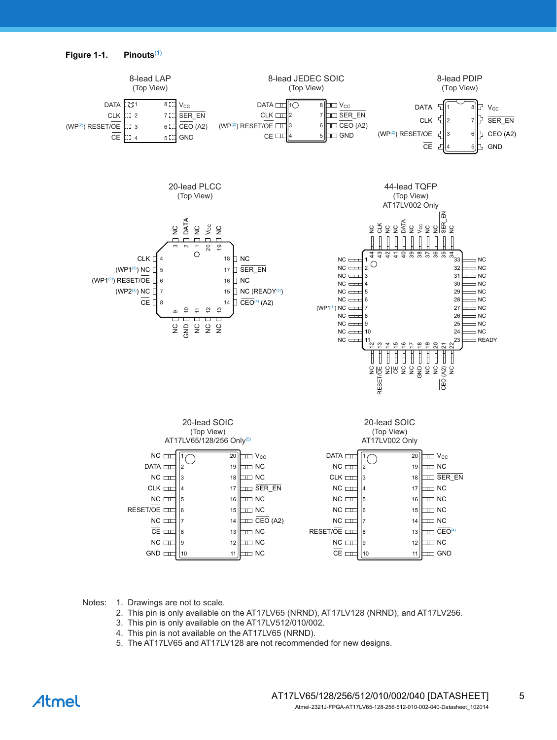

Notes: 1. Drawings are not to scale.

- 2. This pin is only available on the AT17LV65 (NRND), AT17LV128 (NRND), and AT17LV256.
- 3. This pin is only available on the AT17LV512/010/002.
- 4. This pin is not available on the AT17LV65 (NRND).
- 5. The AT17LV65 and AT17LV128 are not recommended for new designs.

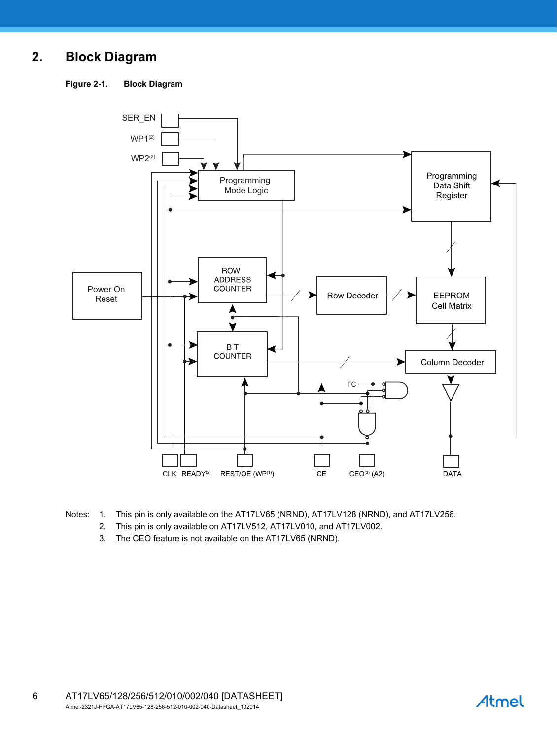# **2. Block Diagram**

**Figure 2-1. Block Diagram**



- Notes: 1. This pin is only available on the AT17LV65 (NRND), AT17LV128 (NRND), and AT17LV256.
	- 2. This pin is only available on AT17LV512, AT17LV010, and AT17LV002.
	- 3. The CEO feature is not available on the AT17LV65 (NRND).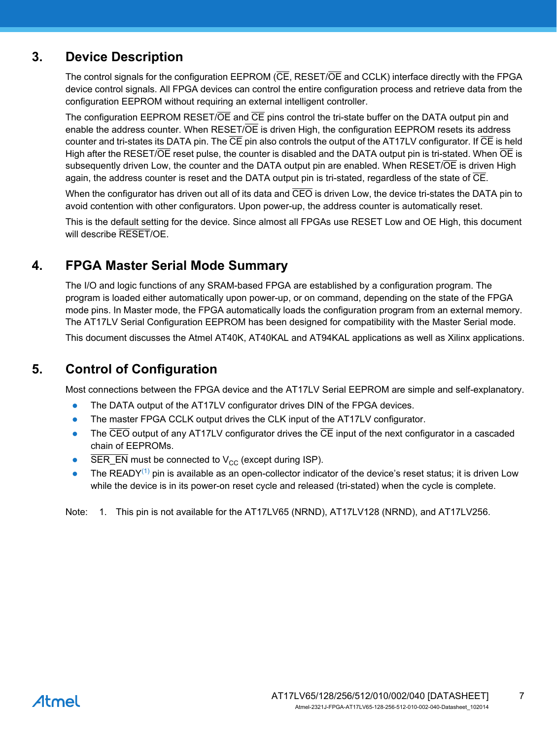# **3. Device Description**

The control signals for the configuration EEPROM (CE, RESET/OE and CCLK) interface directly with the FPGA device control signals. All FPGA devices can control the entire configuration process and retrieve data from the configuration EEPROM without requiring an external intelligent controller.

The configuration EEPROM RESET/OE and CE pins control the tri-state buffer on the DATA output pin and enable the address counter. When RESET/OE is driven High, the configuration EEPROM resets its address counter and tri-states its DATA pin. The  $\overline{CE}$  pin also controls the output of the AT17LV configurator. If  $\overline{CE}$  is held High after the RESET/OE reset pulse, the counter is disabled and the DATA output pin is tri-stated. When OE is subsequently driven Low, the counter and the DATA output pin are enabled. When RESET/OE is driven High again, the address counter is reset and the DATA output pin is tri-stated, regardless of the state of  $\overline{\text{CE}}$ .

When the configurator has driven out all of its data and  $\overline{CEO}$  is driven Low, the device tri-states the DATA pin to avoid contention with other configurators. Upon power-up, the address counter is automatically reset.

This is the default setting for the device. Since almost all FPGAs use RESET Low and OE High, this document will describe RESET/OE.

## **4. FPGA Master Serial Mode Summary**

The I/O and logic functions of any SRAM-based FPGA are established by a configuration program. The program is loaded either automatically upon power-up, or on command, depending on the state of the FPGA mode pins. In Master mode, the FPGA automatically loads the configuration program from an external memory. The AT17LV Serial Configuration EEPROM has been designed for compatibility with the Master Serial mode.

This document discusses the Atmel AT40K, AT40KAL and AT94KAL applications as well as Xilinx applications.

# **5. Control of Configuration**

Most connections between the FPGA device and the AT17LV Serial EEPROM are simple and self-explanatory.

- The DATA output of the AT17LV configurator drives DIN of the FPGA devices.
- The master FPGA CCLK output drives the CLK input of the AT17LV configurator.
- $\bullet$  The  $\overline{CEO}$  output of any AT17LV configurator drives the  $\overline{CE}$  input of the next configurator in a cascaded chain of EEPROMs.
- SER\_EN must be connected to  $V_{CC}$  (except during ISP).
- The READY<sup>(1)</sup> pin is available as an open-collector indicator of the device's reset status; it is driven Low while the device is in its power-on reset cycle and released (tri-stated) when the cycle is complete.

<span id="page-6-0"></span>Note: 1. This pin is not available for the AT17LV65 (NRND), AT17LV128 (NRND), and AT17LV256.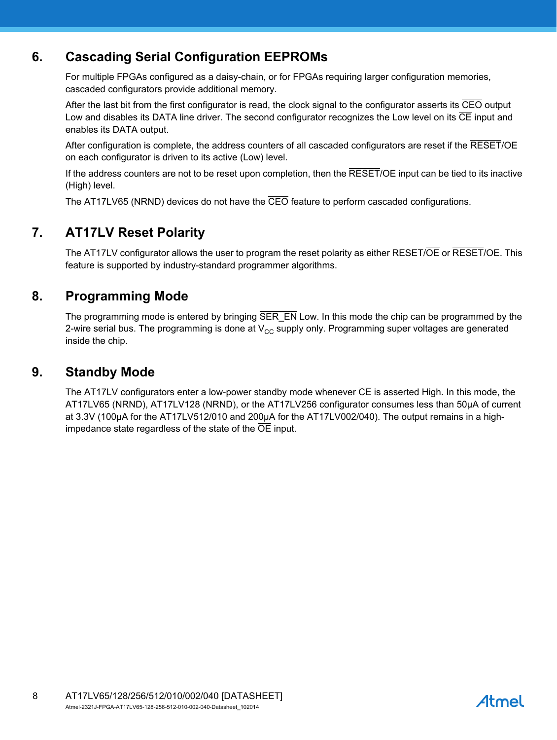# **6. Cascading Serial Configuration EEPROMs**

For multiple FPGAs configured as a daisy-chain, or for FPGAs requiring larger configuration memories, cascaded configurators provide additional memory.

After the last bit from the first configurator is read, the clock signal to the configurator asserts its CEO output Low and disables its DATA line driver. The second configurator recognizes the Low level on its  $\overline{\text{CE}}$  input and enables its DATA output.

After configuration is complete, the address counters of all cascaded configurators are reset if the RESET/OE on each configurator is driven to its active (Low) level.

If the address counters are not to be reset upon completion, then the  $\overline{\text{RESET}}/\text{OE}$  input can be tied to its inactive (High) level.

The AT17LV65 (NRND) devices do not have the CEO feature to perform cascaded configurations.

# **7. AT17LV Reset Polarity**

The AT17LV configurator allows the user to program the reset polarity as either RESET/OE or RESET/OE. This feature is supported by industry-standard programmer algorithms.

## **8. Programming Mode**

The programming mode is entered by bringing SER\_EN Low. In this mode the chip can be programmed by the 2-wire serial bus. The programming is done at  $V_{CC}$  supply only. Programming super voltages are generated inside the chip.

## **9. Standby Mode**

The AT17LV configurators enter a low-power standby mode whenever  $\overline{CE}$  is asserted High. In this mode, the AT17LV65 (NRND), AT17LV128 (NRND), or the AT17LV256 configurator consumes less than 50μA of current at 3.3V (100μA for the AT17LV512/010 and 200μA for the AT17LV002/040). The output remains in a highimpedance state regardless of the state of the  $\overline{OE}$  input.

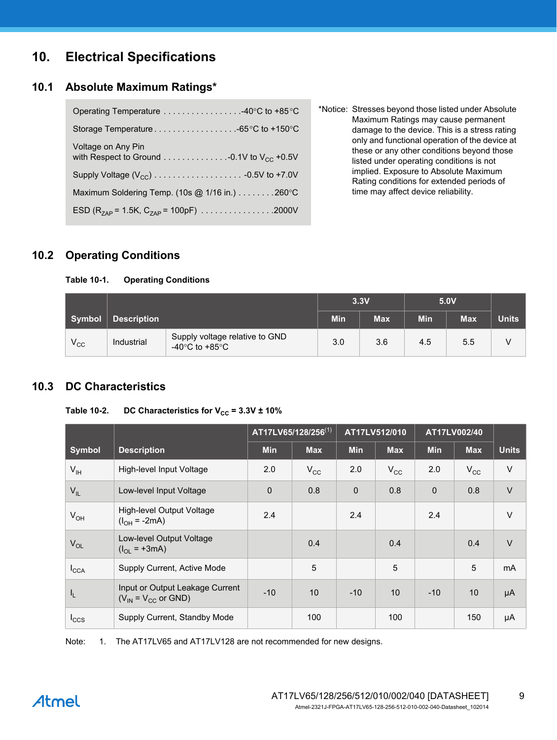# **10. Electrical Specifications**

## **10.1 Absolute Maximum Ratings\***

| Operating Temperature 40°C to +85°C                           |
|---------------------------------------------------------------|
|                                                               |
| Voltage on Any Pin                                            |
|                                                               |
| Maximum Soldering Temp. (10s $@$ 1/16 in.) 260 °C             |
| ESD (R <sub>7AP</sub> = 1.5K, C <sub>7AP</sub> = 100pF) 2000V |

\*Notice: Stresses beyond those listed under Absolute Maximum Ratings may cause permanent damage to the device. This is a stress rating only and functional operation of the device at these or any other conditions beyond those listed under operating conditions is not implied. Exposure to Absolute Maximum Rating conditions for extended periods of time may affect device reliability.

## **10.2 Operating Conditions**

#### **Table 10-1. Operating Conditions**

|              |                    |                                                                      |            | 3.3V       |     | 5.0V       |              |
|--------------|--------------------|----------------------------------------------------------------------|------------|------------|-----|------------|--------------|
| Symbol       | <b>Description</b> |                                                                      | <b>Min</b> | <b>Max</b> | Min | <b>Max</b> | <b>Units</b> |
| $V_{\rm CC}$ | Industrial         | Supply voltage relative to GND<br>-40 $\degree$ C to +85 $\degree$ C | 3.0        | 3.6        | 4.5 | 5.5        |              |

## **10.3 DC Characteristics**

#### Table 10-2. DC Characteristics for  $V_{CC} = 3.3V \pm 10\%$

|                  |                                                               |            | AT17LV65/128/256(1) |            | AT17LV512/010 |            | AT17LV002/40 |              |
|------------------|---------------------------------------------------------------|------------|---------------------|------------|---------------|------------|--------------|--------------|
| Symbol           | <b>Description</b>                                            | <b>Min</b> | <b>Max</b>          | <b>Min</b> | <b>Max</b>    | <b>Min</b> | <b>Max</b>   | <b>Units</b> |
| $V_{\text{IH}}$  | High-level Input Voltage                                      | 2.0        | $V_{\rm CC}$        | 2.0        | $V_{\rm CC}$  | 2.0        | $V_{\rm CC}$ | $\vee$       |
| $V_{IL}$         | Low-level Input Voltage                                       | 0          | 0.8                 | 0          | 0.8           | $\Omega$   | 0.8          | $\vee$       |
| $V_{OH}$         | High-level Output Voltage<br>$(I_{OH} = -2mA)$                | 2.4        |                     | 2.4        |               | 2.4        |              | $\vee$       |
| $V_{OL}$         | Low-level Output Voltage<br>$(I_{OL} = +3mA)$                 |            | 0.4                 |            | 0.4           |            | 0.4          | $\vee$       |
| $I_{\text{CCA}}$ | Supply Current, Active Mode                                   |            | 5                   |            | 5             |            | 5            | <b>mA</b>    |
| I <sub>L</sub>   | Input or Output Leakage Current<br>$(V_{IN} = V_{CC}$ or GND) | $-10$      | 10                  | $-10$      | 10            | $-10$      | 10           | μA           |
| $I_{CCS}$        | Supply Current, Standby Mode                                  |            | 100                 |            | 100           |            | 150          | μA           |

<span id="page-8-0"></span>Note: 1. The AT17LV65 and AT17LV128 are not recommended for new designs.

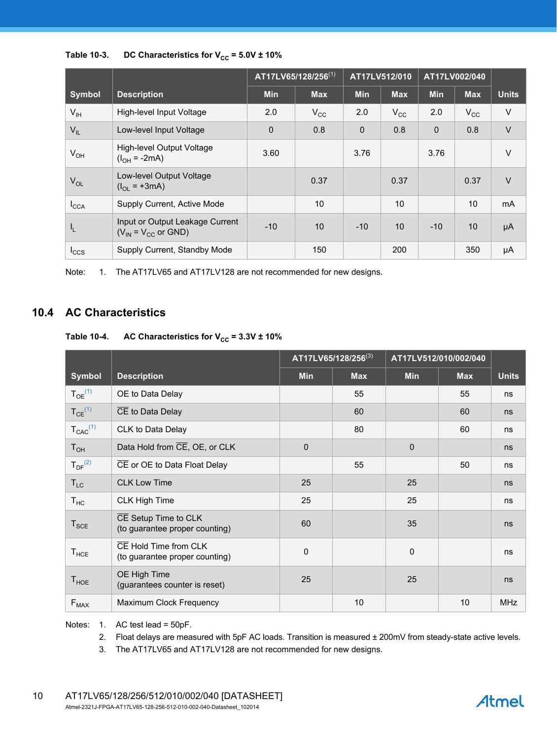|                  |                                                               | $AT17LV65/128/256^{(1)}$ |              | AT17LV512/010 |              | AT17LV002/040 |              |                |
|------------------|---------------------------------------------------------------|--------------------------|--------------|---------------|--------------|---------------|--------------|----------------|
| <b>Symbol</b>    | <b>Description</b>                                            | <b>Min</b>               | <b>Max</b>   | <b>Min</b>    | <b>Max</b>   | <b>Min</b>    | <b>Max</b>   | <b>Units</b>   |
| $V_{\text{IH}}$  | High-level Input Voltage                                      | 2.0                      | $V_{\rm CC}$ | 2.0           | $V_{\rm CC}$ | 2.0           | $V_{\rm CC}$ | $\vee$         |
| $V_{IL}$         | Low-level Input Voltage                                       | $\mathbf 0$              | 0.8          | 0             | 0.8          | $\mathbf 0$   | 0.8          | $\vee$         |
| $V_{OH}$         | High-level Output Voltage<br>$(I_{OH} = -2mA)$                | 3.60                     |              | 3.76          |              | 3.76          |              | $\vee$         |
| $V_{OL}$         | Low-level Output Voltage<br>$(I_{OL} = +3mA)$                 |                          | 0.37         |               | 0.37         |               | 0.37         | $\vee$         |
| $I_{\text{CCA}}$ | Supply Current, Active Mode                                   |                          | 10           |               | 10           |               | 10           | m <sub>A</sub> |
| I <sub>L</sub>   | Input or Output Leakage Current<br>$(V_{IN} = V_{CC}$ or GND) | $-10$                    | 10           | $-10$         | 10           | $-10$         | 10           | μA             |
| $I_{CCS}$        | Supply Current, Standby Mode                                  |                          | 150          |               | 200          |               | 350          | μA             |

Table 10-3. DC Characteristics for  $V_{CC}$  = 5.0V  $\pm$  10%

<span id="page-9-3"></span>Note: 1. The AT17LV65 and AT17LV128 are not recommended for new designs.

## **10.4 AC Characteristics**

## Table 10-4. AC Characteristics for  $V_{CC}$  = 3.3V  $\pm$  10%

|                         |                                                         |            | AT17LV65/128/256(3) |             | AT17LV512/010/002/040 |              |
|-------------------------|---------------------------------------------------------|------------|---------------------|-------------|-----------------------|--------------|
| Symbol                  | <b>Description</b>                                      | <b>Min</b> | <b>Max</b>          | <b>Min</b>  | <b>Max</b>            | <b>Units</b> |
| $T_{OE}^{(1)}$          | OE to Data Delay                                        |            | 55                  |             | 55                    | ns           |
| $T_{CE}$ <sup>(1)</sup> | CE to Data Delay                                        |            | 60                  |             | 60                    | ns           |
| $T_{CAC}^{(1)}$         | CLK to Data Delay                                       |            | 80                  |             | 60                    | ns           |
| $T_{OH}$                | Data Hold from CE, OE, or CLK                           | 0          |                     | $\mathbf 0$ |                       | ns           |
| $T_{DF}^{(2)}$          | CE or OE to Data Float Delay                            |            | 55                  |             | 50                    | ns           |
| $T_{LC}$                | <b>CLK Low Time</b>                                     | 25         |                     | 25          |                       | ns           |
| $T_{HC}$                | <b>CLK High Time</b>                                    | 25         |                     | 25          |                       | ns           |
| $T_{\text{SCE}}$        | CE Setup Time to CLK<br>(to guarantee proper counting)  | 60         |                     | 35          |                       | ns           |
| $T_{HCE}$               | CE Hold Time from CLK<br>(to guarantee proper counting) | 0          |                     | $\pmb{0}$   |                       | ns           |
| $T_{HOE}$               | OE High Time<br>(guarantees counter is reset)           | 25         |                     | 25          |                       | ns           |
| $F_{MAX}$               | Maximum Clock Frequency                                 |            | 10                  |             | 10                    | <b>MHz</b>   |

<span id="page-9-2"></span><span id="page-9-1"></span><span id="page-9-0"></span>Notes: 1. AC test lead = 50pF.

- 2. Float delays are measured with 5pF AC loads. Transition is measured ± 200mV from steady-state active levels.
- 3. The AT17LV65 and AT17LV128 are not recommended for new designs.

**Atmel**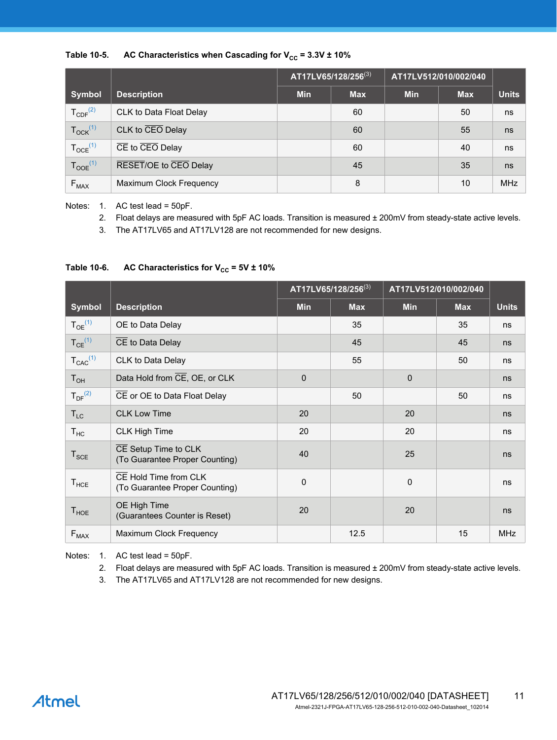

|                          |                                           |            | AT17LV65/128/256(3) | AT17LV512/010/002/040 |            |              |
|--------------------------|-------------------------------------------|------------|---------------------|-----------------------|------------|--------------|
| <b>Symbol</b>            | <b>Description</b>                        | <b>Min</b> | <b>Max</b>          | <b>Min</b>            | <b>Max</b> | <b>Units</b> |
| $T_{CDF}^{(2)}$          | CLK to Data Float Delay                   |            | 60                  |                       | 50         | ns           |
| $T_{\text{OCK}}^{(1)}$   | CLK to CEO Delay                          |            | 60                  |                       | 55         | ns           |
| $T_{OCE}$ <sup>(1)</sup> | $\overline{CE}$ to $\overline{CEO}$ Delay |            | 60                  |                       | 40         | ns           |
| $T_{OOE}$ <sup>(1)</sup> | RESET/OE to CEO Delay                     |            | 45                  |                       | 35         | ns           |
| $F_{MAX}$                | Maximum Clock Frequency                   |            | 8                   |                       | 10         | <b>MHz</b>   |

<span id="page-10-5"></span><span id="page-10-2"></span><span id="page-10-0"></span>Notes: 1. AC test lead = 50pF.

- 2. Float delays are measured with 5pF AC loads. Transition is measured ± 200mV from steady-state active levels.
- 3. The AT17LV65 and AT17LV128 are not recommended for new designs.

## Table 10-6. AC Characteristics for  $V_{CC}$  = 5V  $\pm$  10%

|                         |                                                         |             | AT17LV65/128/256(3) | AT17LV512/010/002/040 |            |              |
|-------------------------|---------------------------------------------------------|-------------|---------------------|-----------------------|------------|--------------|
| <b>Symbol</b>           | <b>Description</b>                                      | <b>Min</b>  | <b>Max</b>          | <b>Min</b>            | <b>Max</b> | <b>Units</b> |
| $T_{OE}^{(1)}$          | OE to Data Delay                                        |             | 35                  |                       | 35         | ns           |
| $T_{CE}$ <sup>(1)</sup> | CE to Data Delay                                        |             | 45                  |                       | 45         | ns           |
| $T_{CAC}^{(1)}$         | CLK to Data Delay                                       |             | 55                  |                       | 50         | ns           |
| $T_{OH}$                | Data Hold from CE, OE, or CLK                           | $\Omega$    |                     | $\mathbf{0}$          |            | ns           |
| $T_{DF}^{(2)}$          | CE or OE to Data Float Delay                            |             | 50                  |                       | 50         | ns           |
| $T_{LC}$                | <b>CLK Low Time</b>                                     | 20          |                     | 20                    |            | ns           |
| $T_{HC}$                | <b>CLK High Time</b>                                    | 20          |                     | 20                    |            | ns           |
| $T_{SCE}$               | CE Setup Time to CLK<br>(To Guarantee Proper Counting)  | 40          |                     | 25                    |            | ns           |
| $T_{HCE}$               | CE Hold Time from CLK<br>(To Guarantee Proper Counting) | $\mathbf 0$ |                     | $\mathbf 0$           |            | ns           |
| $T_{HOE}$               | OE High Time<br>(Guarantees Counter is Reset)           | 20          |                     | 20                    |            | ns           |
| $F_{MAX}$               | Maximum Clock Frequency                                 |             | 12.5                |                       | 15         | <b>MHz</b>   |

<span id="page-10-4"></span><span id="page-10-3"></span><span id="page-10-1"></span>Notes: 1. AC test lead = 50pF.

- 2. Float delays are measured with 5pF AC loads. Transition is measured ± 200mV from steady-state active levels.
- 3. The AT17LV65 and AT17LV128 are not recommended for new designs.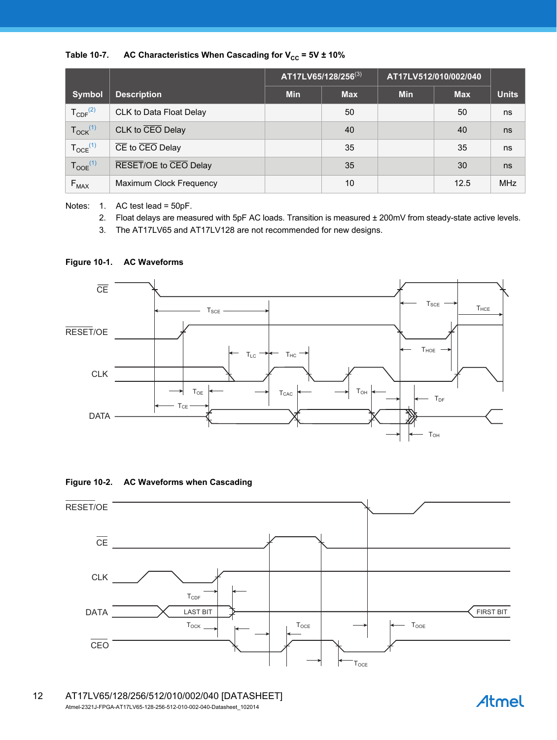

|                          |                                                         |            | AT17LV65/128/256(3) | AT17LV512/010/002/040 |            |              |
|--------------------------|---------------------------------------------------------|------------|---------------------|-----------------------|------------|--------------|
| <b>Symbol</b>            | <b>Description</b>                                      | <b>Min</b> | <b>Max</b>          | <b>Min</b>            | <b>Max</b> | <b>Units</b> |
| $T_{CDF}^{(2)}$          | CLK to Data Float Delay                                 |            | 50                  |                       | 50         | ns           |
| $T_{OCK}$ <sup>(1)</sup> | CLK to CEO Delay                                        |            | 40                  |                       | 40         | ns           |
| $T_{OCE}$ <sup>(1)</sup> | $\overline{\text{CE}}$ to $\overline{\text{CEO}}$ Delay |            | 35                  |                       | 35         | ns           |
| $T_{OOE}$ <sup>(1)</sup> | RESET/OE to CEO Delay                                   |            | 35                  |                       | 30         | ns           |
| $F_{MAX}$                | Maximum Clock Frequency                                 |            | 10                  |                       | 12.5       | <b>MHz</b>   |

<span id="page-11-2"></span><span id="page-11-1"></span><span id="page-11-0"></span>Notes: 1. AC test lead = 50pF.

- 2. Float delays are measured with 5pF AC loads. Transition is measured ± 200mV from steady-state active levels.
- 3. The AT17LV65 and AT17LV128 are not recommended for new designs.

#### **Figure 10-1. AC Waveforms**







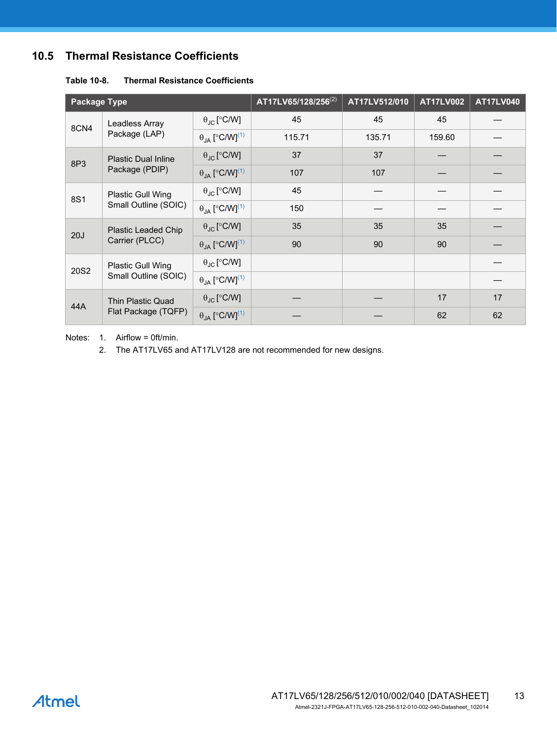## **10.5 Thermal Resistance Coefficients**

| <b>Package Type</b> |                                                  |                                            | AT17LV65/128/256 <sup>(2)</sup> | AT17LV512/010 | <b>AT17LV002</b> | <b>AT17LV040</b> |
|---------------------|--------------------------------------------------|--------------------------------------------|---------------------------------|---------------|------------------|------------------|
| 8CN4                | Leadless Array<br>Package (LAP)                  | $\theta_{\text{JC}}$ [°C/W]                | 45                              | 45            | 45               |                  |
|                     |                                                  | $\theta_{\text{JA}}$ [°C/W] <sup>(1)</sup> | 115.71                          | 135.71        | 159.60           |                  |
| 8P3                 | <b>Plastic Dual Inline</b><br>Package (PDIP)     | $\theta_{\text{JC}}$ [°C/W]                | 37                              | 37            |                  |                  |
|                     |                                                  | $\theta_{JA}$ [°C/W] <sup>(1)</sup>        | 107                             | 107           |                  |                  |
| 8S1                 | <b>Plastic Gull Wing</b><br>Small Outline (SOIC) | $\theta_{\text{JC}}$ [°C/W]                | 45                              |               |                  |                  |
|                     |                                                  | $\theta_{IA}$ [°C/W] <sup>(1)</sup>        | 150                             |               |                  |                  |
| 20J                 | Plastic Leaded Chip<br>Carrier (PLCC)            | $\theta_{\text{JC}}$ [°C/W]                | 35                              | 35            | 35               |                  |
|                     |                                                  | $\theta_{JA}$ [°C/W] <sup>(1)</sup>        | 90                              | 90            | 90               |                  |
| 20S2                | <b>Plastic Gull Wing</b><br>Small Outline (SOIC) | $\theta_{\text{JC}}$ [°C/W]                |                                 |               |                  |                  |
|                     |                                                  | $\theta_{\text{JA}}$ [°C/W] <sup>(1)</sup> |                                 |               |                  |                  |
| 44A                 | Thin Plastic Quad<br>Flat Package (TQFP)         | $\theta_{\text{JC}}$ [°C/W]                |                                 |               | 17               | 17               |
|                     |                                                  | $\theta_{JA}$ [°C/W] <sup>(1)</sup>        |                                 |               | 62               | 62               |

#### **Table 10-8. Thermal Resistance Coefficients**

<span id="page-12-1"></span><span id="page-12-0"></span>Notes: 1. Airflow = 0ft/min.

2. The AT17LV65 and AT17LV128 are not recommended for new designs.

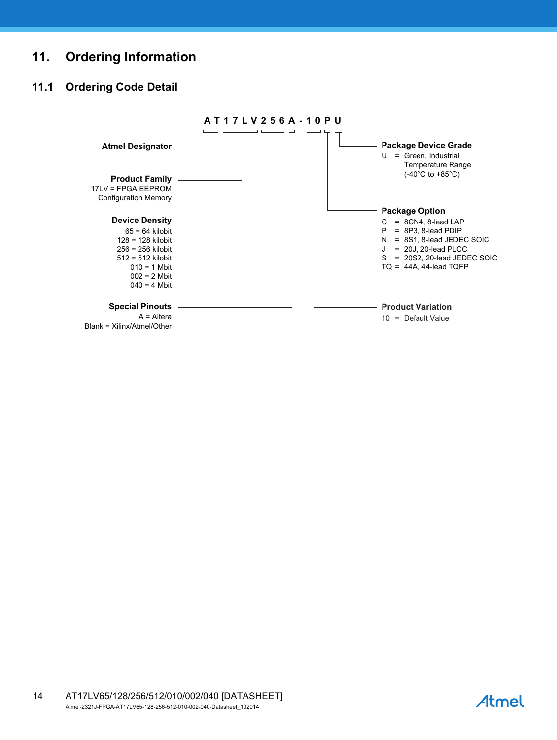# **11. Ordering Information**

## **11.1 Ordering Code Detail**



AT17LV65/128/256/512/010/002/040 [DATASHEET] Atmel-2321J-FPGA-AT17LV65-128-256-512-010-002-040-Datasheet\_102014 14

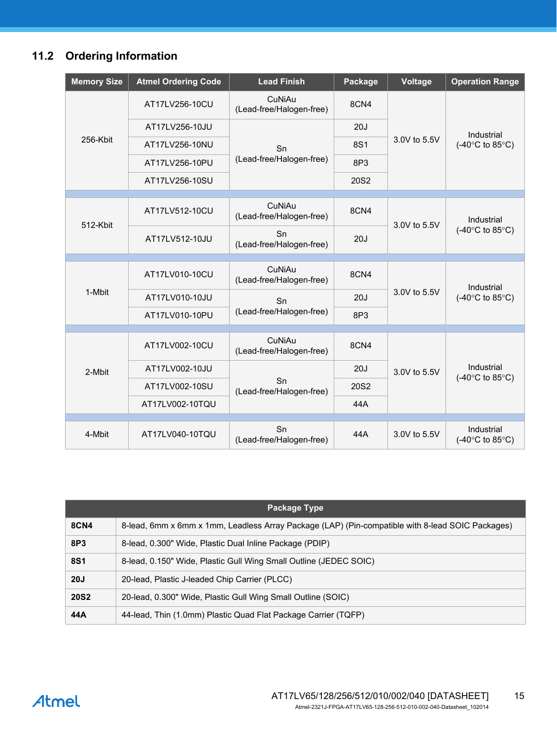# **11.2 Ordering Information**

| <b>Memory Size</b> | <b>Atmel Ordering Code</b>                 | <b>Lead Finish</b>                 | Package          | Voltage      | <b>Operation Range</b>                            |
|--------------------|--------------------------------------------|------------------------------------|------------------|--------------|---------------------------------------------------|
|                    | AT17LV256-10CU                             | CuNiAu<br>(Lead-free/Halogen-free) | 8CN4             | 3.0V to 5.5V | Industrial<br>(-40°C to 85°C)                     |
|                    | AT17LV256-10JU                             | Sn<br>(Lead-free/Halogen-free)     | 20J              |              |                                                   |
| 256-Kbit           | AT17LV256-10NU                             |                                    | <b>8S1</b>       |              |                                                   |
|                    | AT17LV256-10PU                             |                                    | 8P3              |              |                                                   |
|                    | AT17LV256-10SU                             |                                    | 20S2             |              |                                                   |
|                    |                                            |                                    |                  |              |                                                   |
| 512-Kbit           | AT17LV512-10CU                             | CuNiAu<br>(Lead-free/Halogen-free) | 8CN4             | 3.0V to 5.5V | Industrial<br>(-40°C to 85°C)                     |
|                    | AT17LV512-10JU                             | Sn<br>(Lead-free/Halogen-free)     | 20J              |              |                                                   |
|                    |                                            |                                    |                  |              |                                                   |
|                    | AT17LV010-10CU                             | CuNiAu<br>(Lead-free/Halogen-free) | 8CN4             | 3.0V to 5.5V | Industrial<br>(-40 $\degree$ C to 85 $\degree$ C) |
| 1-Mbit             | AT17LV010-10JU                             | Sn                                 | 20J              |              |                                                   |
|                    | (Lead-free/Halogen-free)<br>AT17LV010-10PU |                                    | 8P <sub>3</sub>  |              |                                                   |
|                    |                                            |                                    |                  |              |                                                   |
|                    | AT17LV002-10CU                             | CuNiAu<br>(Lead-free/Halogen-free) | 8CN4             | 3.0V to 5.5V | Industrial<br>(-40 $\degree$ C to 85 $\degree$ C) |
| 2-Mbit             | AT17LV002-10JU                             |                                    | 20J              |              |                                                   |
|                    | AT17LV002-10SU                             | Sn<br>(Lead-free/Halogen-free)     | 20S <sub>2</sub> |              |                                                   |
|                    | AT17LV002-10TQU                            |                                    | 44A              |              |                                                   |
|                    |                                            |                                    |                  |              |                                                   |
| 4-Mbit             | AT17LV040-10TQU                            | Sn<br>(Lead-free/Halogen-free)     | 44A              | 3.0V to 5.5V | Industrial<br>(-40 $\degree$ C to 85 $\degree$ C) |

| Package Type |                                                                                                  |  |  |  |
|--------------|--------------------------------------------------------------------------------------------------|--|--|--|
| <b>8CN4</b>  | 8-lead, 6mm x 6mm x 1mm, Leadless Array Package (LAP) (Pin-compatible with 8-lead SOIC Packages) |  |  |  |
| 8P3          | 8-lead, 0.300" Wide, Plastic Dual Inline Package (PDIP)                                          |  |  |  |
| <b>8S1</b>   | 8-lead, 0.150" Wide, Plastic Gull Wing Small Outline (JEDEC SOIC)                                |  |  |  |
| 20J          | 20-lead, Plastic J-leaded Chip Carrier (PLCC)                                                    |  |  |  |
| <b>20S2</b>  | 20-lead, 0.300" Wide, Plastic Gull Wing Small Outline (SOIC)                                     |  |  |  |
| 44A          | 44-lead, Thin (1.0mm) Plastic Quad Flat Package Carrier (TQFP)                                   |  |  |  |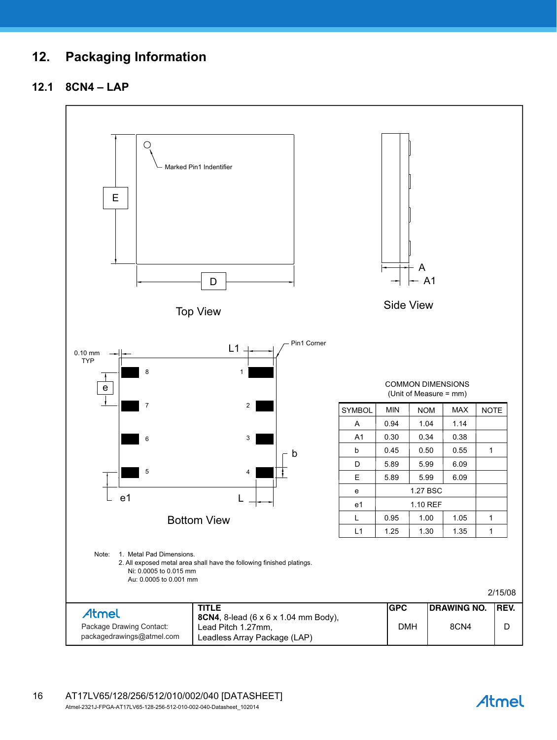# **12. Packaging Information**

## **12.1 8CN4 – LAP**



Atmel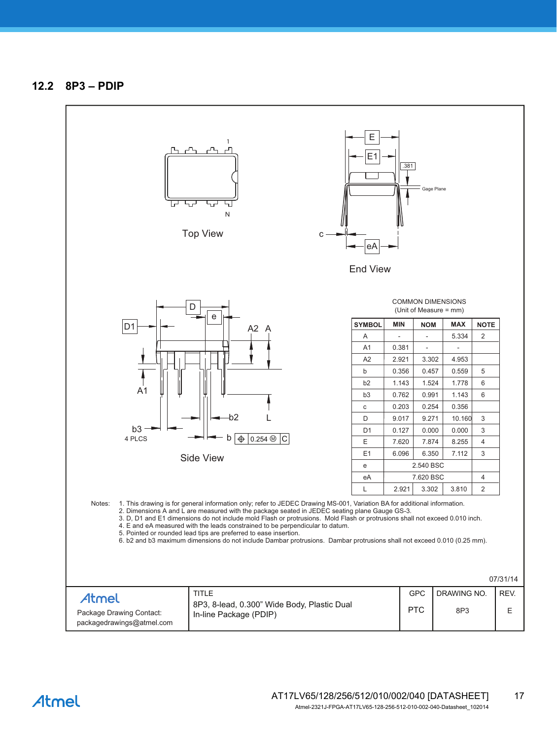

Atmel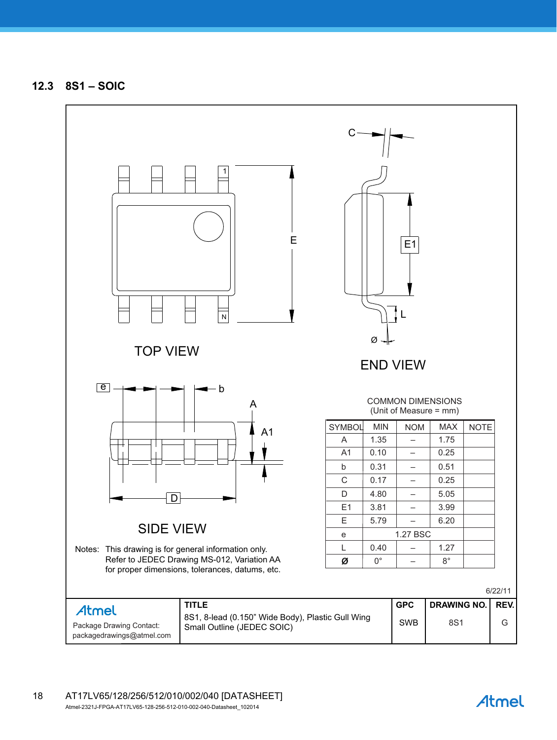**12.3 8S1 – SOIC**



**Atmel**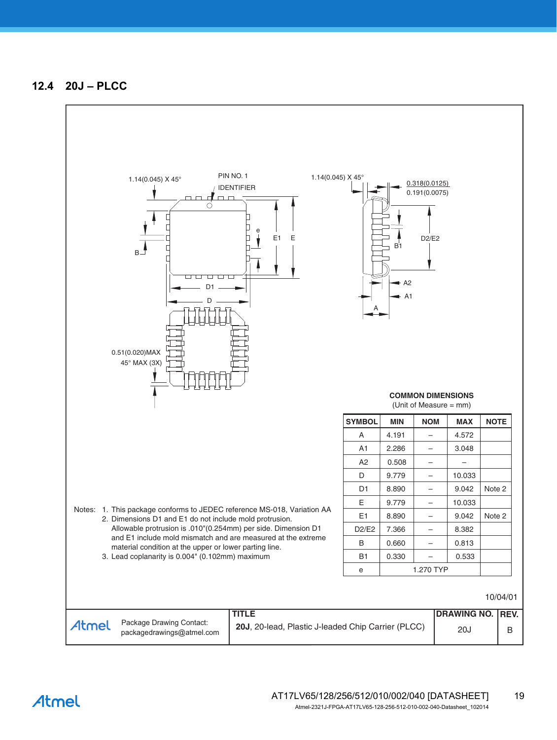## **12.4 20J – PLCC**



Atmel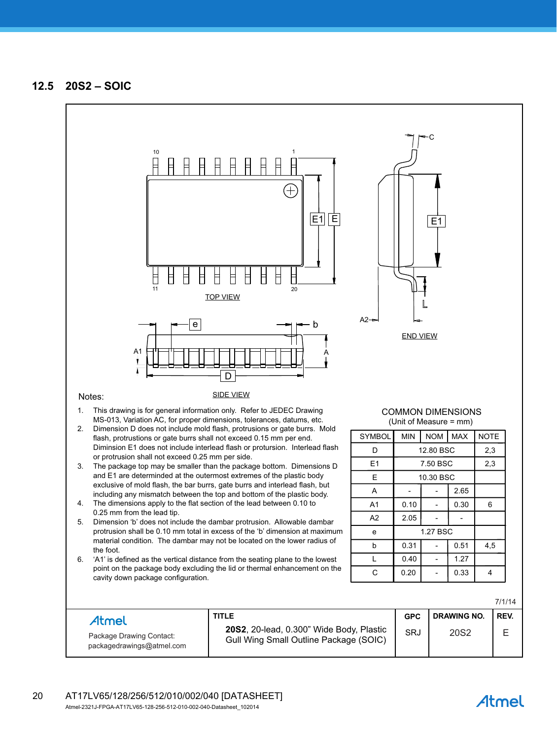

# Atmel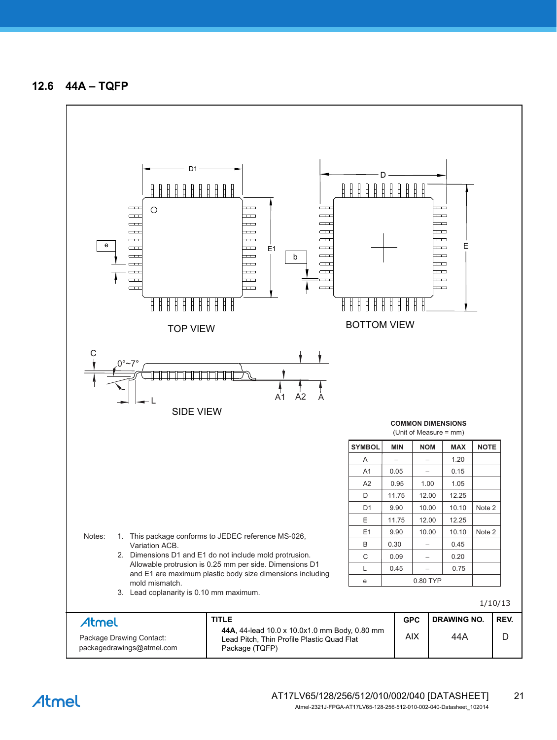**12.6 44A – TQFP**

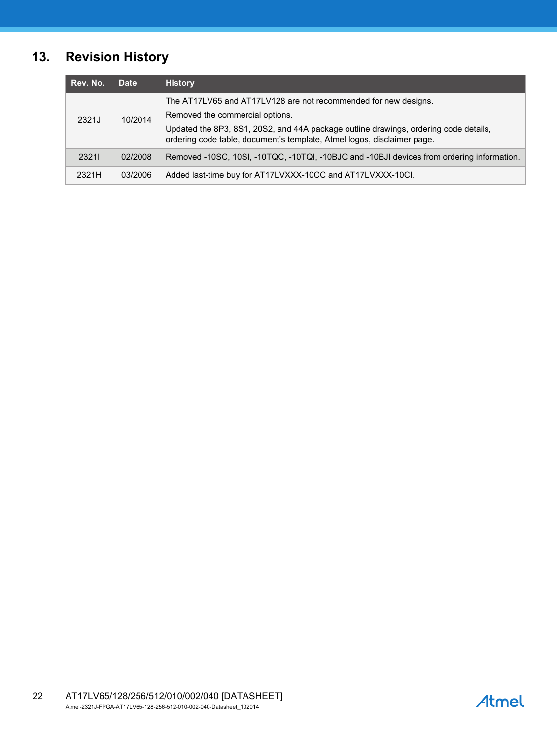# **13. Revision History**

| Rev. No. | <b>Date</b> | <b>History</b>                                                                                                                                                  |
|----------|-------------|-----------------------------------------------------------------------------------------------------------------------------------------------------------------|
| 2321J    | 10/2014     | The AT17LV65 and AT17LV128 are not recommended for new designs.                                                                                                 |
|          |             | Removed the commercial options.                                                                                                                                 |
|          |             | Updated the 8P3, 8S1, 20S2, and 44A package outline drawings, ordering code details,<br>ordering code table, document's template, Atmel logos, disclaimer page. |
| 23211    | 02/2008     | Removed -10SC, 10SI, -10TQC, -10TQI, -10BJC and -10BJI devices from ordering information.                                                                       |
| 2321H    | 03/2006     | Added last-time buy for AT17LVXXX-10CC and AT17LVXXX-10CI.                                                                                                      |